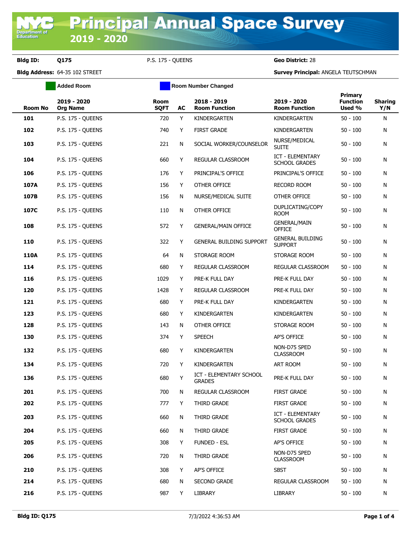**Department of**<br>Education

**Bldg ID: Q175** P.S. 175 - QUEENS **Geo District:** 28

**Bldg Address:** 64-35 102 STREET **Survey Principal:** ANGELA TEUTSCHMAN

|         | <b>Added Room</b>              |                            | <b>Room Number Changed</b> |                                                 |                                                 |                                             |                       |
|---------|--------------------------------|----------------------------|----------------------------|-------------------------------------------------|-------------------------------------------------|---------------------------------------------|-----------------------|
| Room No | 2019 - 2020<br><b>Org Name</b> | <b>Room</b><br><b>SQFT</b> | AC                         | 2018 - 2019<br><b>Room Function</b>             | 2019 - 2020<br><b>Room Function</b>             | <b>Primary</b><br><b>Function</b><br>Used % | <b>Sharing</b><br>Y/N |
| 101     | P.S. 175 - QUEENS              | 720                        | Y                          | KINDERGARTEN                                    | KINDERGARTEN                                    | $50 - 100$                                  | N                     |
| 102     | <b>P.S. 175 - QUEENS</b>       | 740                        | Y                          | <b>FIRST GRADE</b>                              | KINDERGARTEN                                    | $50 - 100$                                  | N                     |
| 103     | <b>P.S. 175 - QUEENS</b>       | 221                        | N                          | SOCIAL WORKER/COUNSELOR                         | NURSE/MEDICAL<br><b>SUITE</b>                   | $50 - 100$                                  | N                     |
| 104     | <b>P.S. 175 - QUEENS</b>       | 660                        | Y                          | REGULAR CLASSROOM                               | <b>ICT - ELEMENTARY</b><br><b>SCHOOL GRADES</b> | $50 - 100$                                  | N                     |
| 106     | <b>P.S. 175 - QUEENS</b>       | 176                        | Y                          | PRINCIPAL'S OFFICE                              | PRINCIPAL'S OFFICE                              | $50 - 100$                                  | N                     |
| 107A    | <b>P.S. 175 - QUEENS</b>       | 156                        | Y                          | OTHER OFFICE                                    | RECORD ROOM                                     | $50 - 100$                                  | N                     |
| 107B    | <b>P.S. 175 - QUEENS</b>       | 156                        | N                          | NURSE/MEDICAL SUITE                             | OTHER OFFICE                                    | $50 - 100$                                  | N                     |
| 107C    | <b>P.S. 175 - QUEENS</b>       | 110                        | N                          | OTHER OFFICE                                    | DUPLICATING/COPY<br><b>ROOM</b>                 | $50 - 100$                                  | N                     |
| 108     | <b>P.S. 175 - QUEENS</b>       | 572                        | Y                          | <b>GENERAL/MAIN OFFICE</b>                      | <b>GENERAL/MAIN</b><br><b>OFFICE</b>            | $50 - 100$                                  | N                     |
| 110     | <b>P.S. 175 - QUEENS</b>       | 322                        | Y                          | GENERAL BUILDING SUPPORT                        | <b>GENERAL BUILDING</b><br><b>SUPPORT</b>       | $50 - 100$                                  | N                     |
| 110A    | <b>P.S. 175 - OUEENS</b>       | 64                         | N                          | STORAGE ROOM                                    | STORAGE ROOM                                    | $50 - 100$                                  | N                     |
| 114     | <b>P.S. 175 - QUEENS</b>       | 680                        | Y                          | REGULAR CLASSROOM                               | REGULAR CLASSROOM                               | $50 - 100$                                  | N                     |
| 116     | <b>P.S. 175 - QUEENS</b>       | 1029                       | Y                          | PRE-K FULL DAY                                  | PRE-K FULL DAY                                  | $50 - 100$                                  | N                     |
| 120     | <b>P.S. 175 - QUEENS</b>       | 1428                       | Y                          | REGULAR CLASSROOM                               | PRE-K FULL DAY                                  | $50 - 100$                                  | N                     |
| 121     | <b>P.S. 175 - QUEENS</b>       | 680                        | Y                          | PRE-K FULL DAY                                  | KINDERGARTEN                                    | $50 - 100$                                  | N                     |
| 123     | <b>P.S. 175 - QUEENS</b>       | 680                        | Y                          | KINDERGARTEN                                    | KINDERGARTEN                                    | $50 - 100$                                  | N                     |
| 128     | <b>P.S. 175 - QUEENS</b>       | 143                        | N                          | OTHER OFFICE                                    | STORAGE ROOM                                    | $50 - 100$                                  | N                     |
| 130     | P.S. 175 - QUEENS              | 374                        | Y                          | <b>SPEECH</b>                                   | AP'S OFFICE                                     | $50 - 100$                                  | N                     |
| 132     | <b>P.S. 175 - QUEENS</b>       | 680                        | Y                          | KINDERGARTEN                                    | NON-D75 SPED<br><b>CLASSROOM</b>                | $50 - 100$                                  | N                     |
| 134     | <b>P.S. 175 - QUEENS</b>       | 720                        | Y                          | KINDERGARTEN                                    | ART ROOM                                        | $50 - 100$                                  | N                     |
| 136     | <b>P.S. 175 - QUEENS</b>       | 680                        | Y                          | <b>ICT - ELEMENTARY SCHOOL</b><br><b>GRADES</b> | PRE-K FULL DAY                                  | $50 - 100$                                  | N                     |
| 201     | P.S. 175 - QUEENS              | 700                        | N                          | REGULAR CLASSROOM                               | <b>FIRST GRADE</b>                              | $50 - 100$                                  | N                     |
| 202     | P.S. 175 - QUEENS              | 777                        | Y                          | THIRD GRADE                                     | <b>FIRST GRADE</b>                              | $50 - 100$                                  | N                     |
| 203     | <b>P.S. 175 - QUEENS</b>       | 660                        | N                          | THIRD GRADE                                     | ICT - ELEMENTARY<br><b>SCHOOL GRADES</b>        | $50 - 100$                                  | N                     |
| 204     | P.S. 175 - QUEENS              | 660                        | N                          | THIRD GRADE                                     | <b>FIRST GRADE</b>                              | $50 - 100$                                  | N                     |
| 205     | P.S. 175 - QUEENS              | 308                        | Y                          | <b>FUNDED - ESL</b>                             | AP'S OFFICE                                     | $50 - 100$                                  | N                     |
| 206     | P.S. 175 - QUEENS              | 720                        | N                          | THIRD GRADE                                     | NON-D75 SPED<br><b>CLASSROOM</b>                | $50 - 100$                                  | N                     |
| 210     | P.S. 175 - QUEENS              | 308                        | Y                          | AP'S OFFICE                                     | <b>SBST</b>                                     | $50 - 100$                                  | N                     |
| 214     | P.S. 175 - QUEENS              | 680                        | N                          | SECOND GRADE                                    | REGULAR CLASSROOM                               | $50 - 100$                                  | N                     |
| 216     | P.S. 175 - QUEENS              | 987                        | Y                          | LIBRARY                                         | LIBRARY                                         | $50 - 100$                                  | N                     |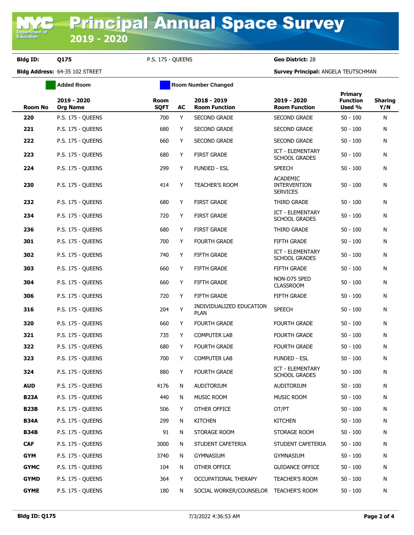## **Bldg ID: Q175** P.S. 175 - QUEENS **Geo District:** 28

**Bldg Address:** 64-35 102 STREET **Survey Principal:** ANGELA TEUTSCHMAN

|             | <b>Added Room</b>              |                            | <b>Room Number Changed</b> |                                         |                                                           |                                      |                       |
|-------------|--------------------------------|----------------------------|----------------------------|-----------------------------------------|-----------------------------------------------------------|--------------------------------------|-----------------------|
| Room No     | 2019 - 2020<br><b>Org Name</b> | <b>Room</b><br><b>SQFT</b> | AC                         | 2018 - 2019<br><b>Room Function</b>     | 2019 - 2020<br><b>Room Function</b>                       | Primary<br><b>Function</b><br>Used % | <b>Sharing</b><br>Y/N |
| 220         | P.S. 175 - QUEENS              | 700                        | Y                          | <b>SECOND GRADE</b>                     | <b>SECOND GRADE</b>                                       | $50 - 100$                           | N                     |
| 221         | <b>P.S. 175 - QUEENS</b>       | 680                        | Y                          | <b>SECOND GRADE</b>                     | <b>SECOND GRADE</b>                                       | $50 - 100$                           | N                     |
| 222         | <b>P.S. 175 - QUEENS</b>       | 660                        | Y                          | <b>SECOND GRADE</b>                     | <b>SECOND GRADE</b>                                       | $50 - 100$                           | N                     |
| 223         | P.S. 175 - QUEENS              | 680                        | Y                          | <b>FIRST GRADE</b>                      | ICT - ELEMENTARY<br><b>SCHOOL GRADES</b>                  | $50 - 100$                           | N                     |
| 224         | <b>P.S. 175 - QUEENS</b>       | 299                        | Y                          | <b>FUNDED - ESL</b>                     | <b>SPEECH</b>                                             | $50 - 100$                           | N                     |
| 230         | <b>P.S. 175 - QUEENS</b>       | 414                        | Y                          | <b>TEACHER'S ROOM</b>                   | <b>ACADEMIC</b><br><b>INTERVENTION</b><br><b>SERVICES</b> | $50 - 100$                           | N                     |
| 232         | <b>P.S. 175 - QUEENS</b>       | 680                        | Y                          | <b>FIRST GRADE</b>                      | THIRD GRADE                                               | $50 - 100$                           | N                     |
| 234         | <b>P.S. 175 - QUEENS</b>       | 720                        | Y                          | <b>FIRST GRADE</b>                      | ICT - ELEMENTARY<br><b>SCHOOL GRADES</b>                  | $50 - 100$                           | N                     |
| 236         | P.S. 175 - QUEENS              | 680                        | Y                          | <b>FIRST GRADE</b>                      | THIRD GRADE                                               | $50 - 100$                           | N                     |
| 301         | <b>P.S. 175 - OUEENS</b>       | 700                        | Y                          | <b>FOURTH GRADE</b>                     | FIFTH GRADE                                               | $50 - 100$                           | N                     |
| 302         | P.S. 175 - QUEENS              | 740                        | Y                          | FIFTH GRADE                             | <b>ICT - ELEMENTARY</b><br><b>SCHOOL GRADES</b>           | $50 - 100$                           | N                     |
| 303         | <b>P.S. 175 - QUEENS</b>       | 660                        | Y                          | FIFTH GRADE                             | FIFTH GRADE                                               | $50 - 100$                           | N                     |
| 304         | P.S. 175 - QUEENS              | 660                        | Y                          | FIFTH GRADE                             | NON-D75 SPED<br><b>CLASSROOM</b>                          | $50 - 100$                           | N                     |
| 306         | <b>P.S. 175 - QUEENS</b>       | 720                        | Y                          | FIFTH GRADE                             | FIFTH GRADE                                               | $50 - 100$                           | N                     |
| 316         | P.S. 175 - QUEENS              | 204                        | Υ                          | INDIVIDUALIZED EDUCATION<br><b>PLAN</b> | <b>SPEECH</b>                                             | $50 - 100$                           | N                     |
| 320         | P.S. 175 - QUEENS              | 660                        | Y                          | <b>FOURTH GRADE</b>                     | <b>FOURTH GRADE</b>                                       | $50 - 100$                           | N                     |
| 321         | P.S. 175 - QUEENS              | 735                        | Y                          | <b>COMPUTER LAB</b>                     | <b>FOURTH GRADE</b>                                       | $50 - 100$                           | N                     |
| 322         | P.S. 175 - QUEENS              | 680                        | Y                          | <b>FOURTH GRADE</b>                     | <b>FOURTH GRADE</b>                                       | $50 - 100$                           | Ν                     |
| 323         | <b>P.S. 175 - QUEENS</b>       | 700                        | Y                          | <b>COMPUTER LAB</b>                     | <b>FUNDED - ESL</b>                                       | $50 - 100$                           | N                     |
| 324         | P.S. 175 - QUEENS              | 880                        | Y                          | <b>FOURTH GRADE</b>                     | <b>ICT - ELEMENTARY</b><br><b>SCHOOL GRADES</b>           | $50 - 100$                           | N                     |
| AUD         | P.S. 175 - QUEENS              | 4176                       | ${\sf N}$                  | AUDITORIUM                              | AUDITORIUM                                                | $50 - 100$                           | N                     |
| <b>B23A</b> | P.S. 175 - QUEENS              | 440                        | N                          | MUSIC ROOM                              | MUSIC ROOM                                                | $50 - 100$                           | Ν                     |
| <b>B23B</b> | P.S. 175 - QUEENS              | 506                        | Y                          | OTHER OFFICE                            | OT/PT                                                     | $50 - 100$                           | N                     |
| <b>B34A</b> | <b>P.S. 175 - OUEENS</b>       | 299                        | N                          | <b>KITCHEN</b>                          | <b>KITCHEN</b>                                            | $50 - 100$                           | N                     |
| <b>B34B</b> | <b>P.S. 175 - OUEENS</b>       | 91                         | N                          | STORAGE ROOM                            | STORAGE ROOM                                              | $50 - 100$                           | Ν                     |
| <b>CAF</b>  | P.S. 175 - QUEENS              | 3000                       | N                          | STUDENT CAFETERIA                       | STUDENT CAFETERIA                                         | $50 - 100$                           | N                     |
| <b>GYM</b>  | <b>P.S. 175 - QUEENS</b>       | 3740                       | N                          | GYMNASIUM                               | GYMNASIUM                                                 | $50 - 100$                           | N                     |
| <b>GYMC</b> | P.S. 175 - QUEENS              | 104                        | N                          | OTHER OFFICE                            | <b>GUIDANCE OFFICE</b>                                    | $50 - 100$                           | Ν                     |
| <b>GYMD</b> | P.S. 175 - QUEENS              | 364                        | Y                          | OCCUPATIONAL THERAPY                    | TEACHER'S ROOM                                            | $50 - 100$                           | N                     |
| <b>GYME</b> | P.S. 175 - QUEENS              | 180                        | N                          | SOCIAL WORKER/COUNSELOR TEACHER'S ROOM  |                                                           | $50 - 100$                           | N                     |
|             |                                |                            |                            |                                         |                                                           |                                      |                       |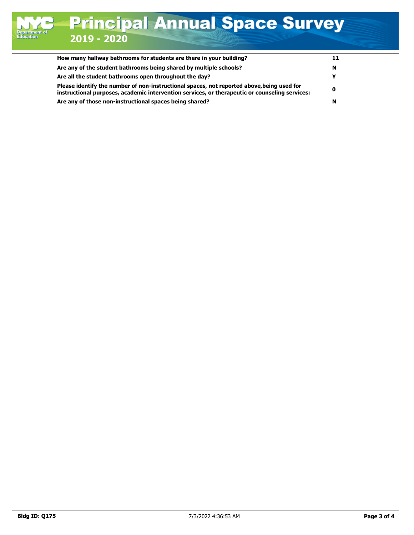| How many hallway bathrooms for students are there in your building?                                                                                                                          | 11 |
|----------------------------------------------------------------------------------------------------------------------------------------------------------------------------------------------|----|
| Are any of the student bathrooms being shared by multiple schools?                                                                                                                           | N  |
| Are all the student bathrooms open throughout the day?                                                                                                                                       |    |
| Please identify the number of non-instructional spaces, not reported above, being used for<br>instructional purposes, academic intervention services, or therapeutic or counseling services: |    |
| Are any of those non-instructional spaces being shared?                                                                                                                                      | N  |